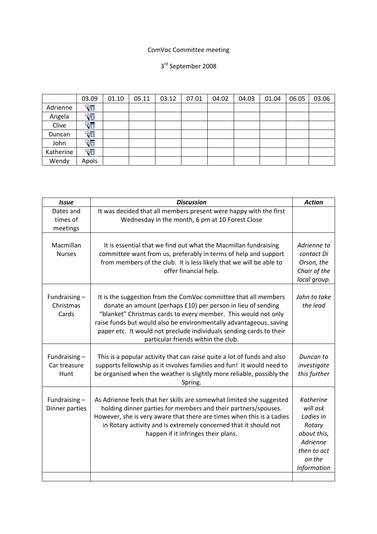## ComVoc Committee meeting

## 3rd September 2008

|           | 03.09 | 01.10 | 05.11 | 03.12 | 07.01 | 04.02 | 04.03 | 01.04 | 06.05 | 03.06 |
|-----------|-------|-------|-------|-------|-------|-------|-------|-------|-------|-------|
| Adrienne  | 96    |       |       |       |       |       |       |       |       |       |
| Angela    | واء   |       |       |       |       |       |       |       |       |       |
| Clive     | 96    |       |       |       |       |       |       |       |       |       |
| Duncan    | 90    |       |       |       |       |       |       |       |       |       |
| John      | ورت   |       |       |       |       |       |       |       |       |       |
| Katherine | 90    |       |       |       |       |       |       |       |       |       |
| Wendy     | Apols |       |       |       |       |       |       |       |       |       |

| <b>Issue</b>                            | <b>Discussion</b>                                                                                                                                                                                                                                                                                                                                                                     | <b>Action</b>                                                                                                          |
|-----------------------------------------|---------------------------------------------------------------------------------------------------------------------------------------------------------------------------------------------------------------------------------------------------------------------------------------------------------------------------------------------------------------------------------------|------------------------------------------------------------------------------------------------------------------------|
| Dates and<br>times of<br>meetings       | It was decided that all members present were happy with the first<br>Wednesday in the month, 6 pm at 10 Forest Close                                                                                                                                                                                                                                                                  |                                                                                                                        |
| Macmillan<br><b>Nurses</b>              | It is essential that we find out what the Macmillan fundraising<br>committee want from us, preferably in terms of help and support<br>from members of the club. It is less likely that we will be able to<br>offer financial help.                                                                                                                                                    | Adrienne to<br>contact Di<br>Orson, the<br>Chair of the<br>local group.                                                |
| Fundraising-<br>Christmas<br>Cards      | It is the suggestion from the ComVoc committee that all members<br>donate an amount (perhaps £10) per person in lieu of sending<br>"blanket" Christmas cards to every member. This would not only<br>raise funds but would also be environmentally advantageous, saving<br>paper etc. It would not preclude individuals sending cards to their<br>particular friends within the club. | John to take<br>the lead                                                                                               |
| Fundraising $-$<br>Car treasure<br>Hunt | This is a popular activity that can raise quite a lot of funds and also<br>supports fellowship as it involves families and fun! It would need to<br>be organised when the weather is slightly more reliable, possibly the<br>Spring.                                                                                                                                                  | Duncan to<br>investigate<br>this further                                                                               |
| Fundraising $-$<br>Dinner parties       | As Adrienne feels that her skills are somewhat limited she suggested<br>holding dinner parties for members and their partners/spouses.<br>However, she is very aware that there are times when this is a Ladies<br>in Rotary activity and is extremely concerned that it should not<br>happen if it infringes their plans.                                                            | <b>Katherine</b><br>will ask<br>Ladies in<br>Rotary<br>about this,<br>Adrienne<br>then to act<br>on the<br>information |